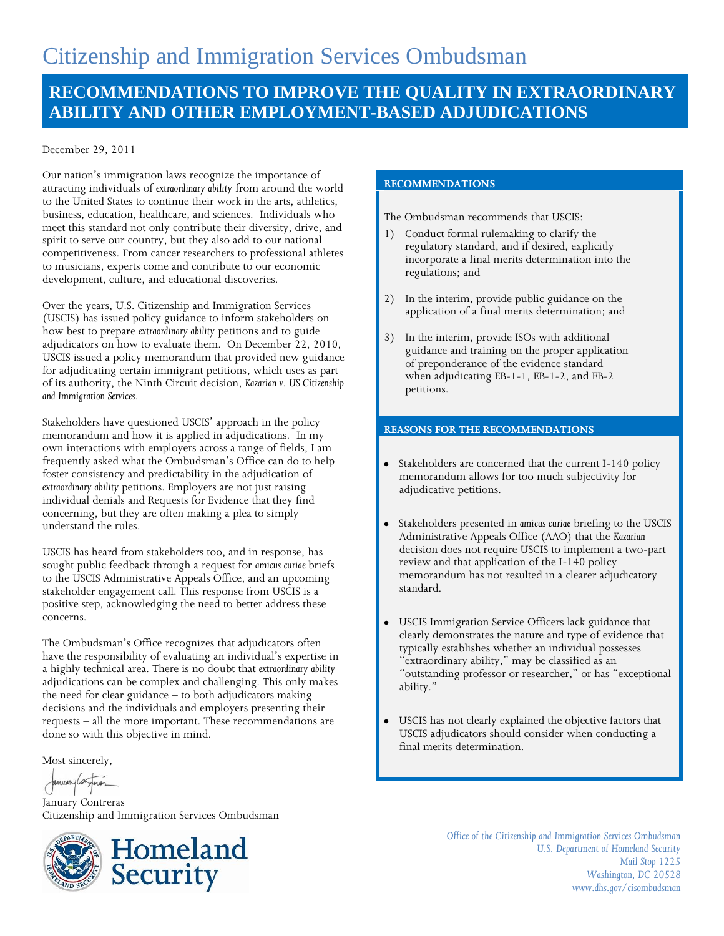# **RECOMMENDATIONS TO IMPROVE THE QUALITY IN EXTRAORDINARY ABILITY AND OTHER EMPLOYMENT-BASED ADJUDICATIONS**

#### December 29, 2011

Our nation's immigration laws recognize the importance of attracting individuals of *extraordinary ability* from around the world to the United States to continue their work in the arts, athletics, business, education, healthcare, and sciences. Individuals who meet this standard not only contribute their diversity, drive, and spirit to serve our country, but they also add to our national competitiveness. From cancer researchers to professional athletes to musicians, experts come and contribute to our economic development, culture, and educational discoveries.

Over the years, U.S. Citizenship and Immigration Services (USCIS) has issued policy guidance to inform stakeholders on how best to prepare *extraordinary ability* petitions and to guide adjudicators on how to evaluate them. On December 22, 2010, USCIS issued a policy memorandum that provided new guidance for adjudicating certain immigrant petitions, which uses as part of its authority, the Ninth Circuit decision, *Kazarian v. US Citizenship and Immigration Services*.

Stakeholders have questioned USCIS' approach in the policy memorandum and how it is applied in adjudications. In my own interactions with employers across a range of fields, I am frequently asked what the Ombudsman's Office can do to help foster consistency and predictability in the adjudication of *extraordinary ability* petitions. Employers are not just raising individual denials and Requests for Evidence that they find concerning, but they are often making a plea to simply understand the rules.

USCIS has heard from stakeholders too, and in response, has sought public feedback through a request for *amicus curiae* briefs to the USCIS Administrative Appeals Office, and an upcoming stakeholder engagement call. This response from USCIS is a positive step, acknowledging the need to better address these concerns.

The Ombudsman's Office recognizes that adjudicators often have the responsibility of evaluating an individual's expertise in a highly technical area. There is no doubt that *extraordinary ability*  adjudications can be complex and challenging. This only makes the need for clear guidance – to both adjudicators making decisions and the individuals and employers presenting their requests – all the more important. These recommendations are done so with this objective in mind.

Most sincerely,

January Contreras Citizenship and Immigration Services Ombudsman



#### **RECOMMENDATIONS**

The Ombudsman recommends that USCIS:

- 1) Conduct formal rulemaking to clarify the regulatory standard, and if desired, explicitly incorporate a final merits determination into the regulations; and
- 2) In the interim, provide public guidance on the application of a final merits determination; and
- 3) In the interim, provide ISOs with additional guidance and training on the proper application of preponderance of the evidence standard when adjudicating EB-1-1, EB-1-2, and EB-2 petitions.

#### **REASONS FOR THE RECOMMENDATIONS**

- Stakeholders are concerned that the current I-140 policy memorandum allows for too much subjectivity for adjudicative petitions.
- Stakeholders presented in *amicus curiae* briefing to the USCIS Administrative Appeals Office (AAO) that the *Kazarian*  decision does not require USCIS to implement a two-part review and that application of the I-140 policy memorandum has not resulted in a clearer adjudicatory standard.
- USCIS Immigration Service Officers lack guidance that clearly demonstrates the nature and type of evidence that typically establishes whether an individual possesses "extraordinary ability," may be classified as an "outstanding professor or researcher," or has "exceptional ability."
- USCIS has not clearly explained the objective factors that USCIS adjudicators should consider when conducting a final merits determination.

*Office of the Citizenship and Immigration Services Ombudsman U.S. Department of Homeland Security Mail Stop 1225 Washington, DC 20528 www.dhs.gov/cisombudsman*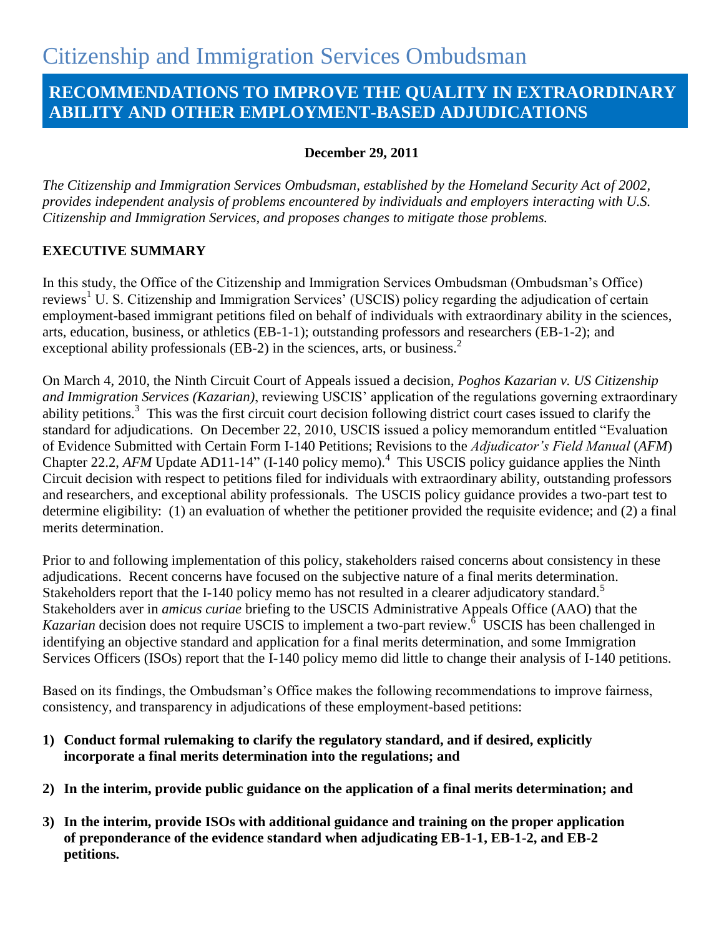# **RECOMMENDATIONS TO IMPROVE THE QUALITY IN EXTRAORDINARY ABILITY AND OTHER EMPLOYMENT-BASED ADJUDICATIONS**

### **December 29, 2011**

*The Citizenship and Immigration Services Ombudsman, established by the Homeland Security Act of 2002, provides independent analysis of problems encountered by individuals and employers interacting with U.S. Citizenship and Immigration Services, and proposes changes to mitigate those problems.* 

# **EXECUTIVE SUMMARY**

In this study, the Office of the Citizenship and Immigration Services Ombudsman (Ombudsman"s Office) reviews<sup>1</sup> U. S. Citizenship and Immigration Services' (USCIS) policy regarding the adjudication of certain employment-based immigrant petitions filed on behalf of individuals with extraordinary ability in the sciences, arts, education, business, or athletics (EB-1-1); outstanding professors and researchers (EB-1-2); and exceptional ability professionals (EB-2) in the sciences, arts, or business.<sup>2</sup>

On March 4, 2010, the Ninth Circuit Court of Appeals issued a decision, *Poghos Kazarian v. US Citizenship and Immigration Services (Kazarian)*, reviewing USCIS" application of the regulations governing extraordinary ability petitions.<sup>3</sup> This was the first circuit court decision following district court cases issued to clarify the standard for adjudications. On December 22, 2010, USCIS issued a policy memorandum entitled "Evaluation of Evidence Submitted with Certain Form I-140 Petitions; Revisions to the *Adjudicator's Field Manual* (*AFM*) Chapter 22.2,  $AFM$  Update AD11-14" (I-140 policy memo).<sup>4</sup> This USCIS policy guidance applies the Ninth Circuit decision with respect to petitions filed for individuals with extraordinary ability, outstanding professors and researchers, and exceptional ability professionals. The USCIS policy guidance provides a two-part test to determine eligibility: (1) an evaluation of whether the petitioner provided the requisite evidence; and (2) a final merits determination.

Prior to and following implementation of this policy, stakeholders raised concerns about consistency in these adjudications. Recent concerns have focused on the subjective nature of a final merits determination. Stakeholders report that the I-140 policy memo has not resulted in a clearer adjudicatory standard.<sup>5</sup> Stakeholders aver in *amicus curiae* briefing to the USCIS Administrative Appeals Office (AAO) that the Kazarian decision does not require USCIS to implement a two-part review.<sup>6</sup> USCIS has been challenged in identifying an objective standard and application for a final merits determination, and some Immigration Services Officers (ISOs) report that the I-140 policy memo did little to change their analysis of I-140 petitions.

Based on its findings, the Ombudsman"s Office makes the following recommendations to improve fairness, consistency, and transparency in adjudications of these employment-based petitions:

- **1) Conduct formal rulemaking to clarify the regulatory standard, and if desired, explicitly incorporate a final merits determination into the regulations; and**
- **2) In the interim, provide public guidance on the application of a final merits determination; and**
- **3) In the interim, provide ISOs with additional guidance and training on the proper application of preponderance of the evidence standard when adjudicating EB-1-1, EB-1-2, and EB-2 petitions.**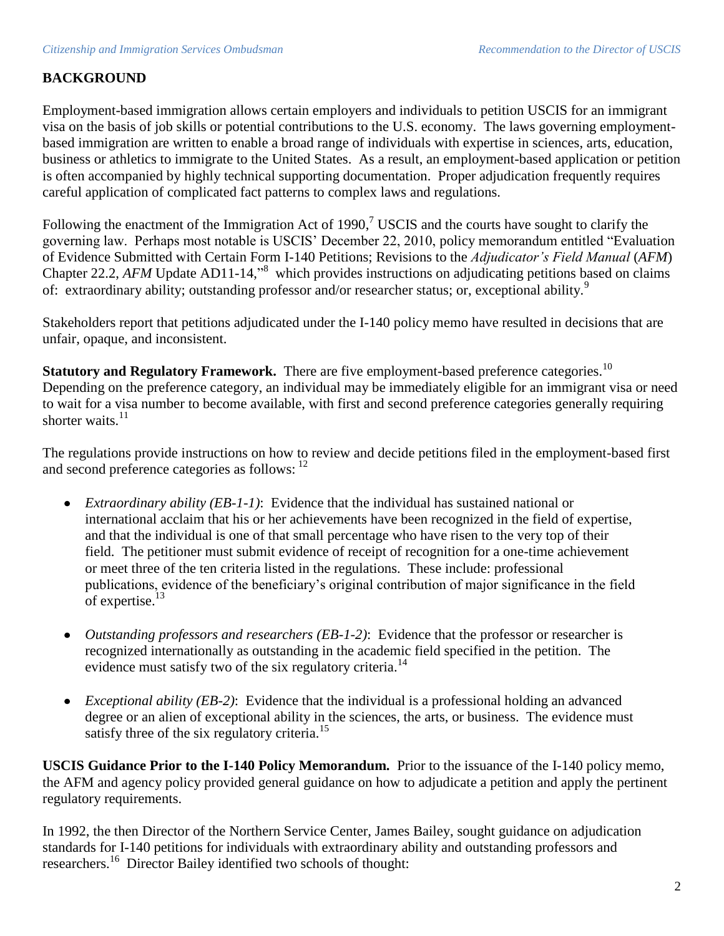# **BACKGROUND**

Employment-based immigration allows certain employers and individuals to petition USCIS for an immigrant visa on the basis of job skills or potential contributions to the U.S. economy. The laws governing employmentbased immigration are written to enable a broad range of individuals with expertise in sciences, arts, education, business or athletics to immigrate to the United States. As a result, an employment-based application or petition is often accompanied by highly technical supporting documentation. Proper adjudication frequently requires careful application of complicated fact patterns to complex laws and regulations.

Following the enactment of the Immigration Act of 1990,<sup>7</sup> USCIS and the courts have sought to clarify the governing law. Perhaps most notable is USCIS" December 22, 2010, policy memorandum entitled "Evaluation of Evidence Submitted with Certain Form I-140 Petitions; Revisions to the *Adjudicator's Field Manual* (*AFM*) Chapter 22.2, AFM Update AD11-14,<sup>8</sup> which provides instructions on adjudicating petitions based on claims of: extraordinary ability; outstanding professor and/or researcher status; or, exceptional ability.<sup>9</sup>

Stakeholders report that petitions adjudicated under the I-140 policy memo have resulted in decisions that are unfair, opaque, and inconsistent.

**Statutory and Regulatory Framework.** There are five employment-based preference categories.<sup>10</sup> Depending on the preference category, an individual may be immediately eligible for an immigrant visa or need to wait for a visa number to become available, with first and second preference categories generally requiring shorter waits. $11$ 

The regulations provide instructions on how to review and decide petitions filed in the employment-based first and second preference categories as follows: <sup>12</sup>

- *Extraordinary ability (EB-1-1)*: Evidence that the individual has sustained national or international acclaim that his or her achievements have been recognized in the field of expertise, and that the individual is one of that small percentage who have risen to the very top of their field. The petitioner must submit evidence of receipt of recognition for a one-time achievement or meet three of the ten criteria listed in the regulations. These include: professional publications, evidence of the beneficiary"s original contribution of major significance in the field of expertise.<sup>13</sup>
- *Outstanding professors and researchers (EB-1-2)*: Evidence that the professor or researcher is  $\bullet$ recognized internationally as outstanding in the academic field specified in the petition. The evidence must satisfy two of the six regulatory criteria.<sup>14</sup>
- *Exceptional ability (EB-2)*: Evidence that the individual is a professional holding an advanced  $\bullet$ degree or an alien of exceptional ability in the sciences, the arts, or business. The evidence must satisfy three of the six regulatory criteria.<sup>15</sup>

**USCIS Guidance Prior to the I-140 Policy Memorandum.** Prior to the issuance of the I-140 policy memo, the AFM and agency policy provided general guidance on how to adjudicate a petition and apply the pertinent regulatory requirements.

In 1992, the then Director of the Northern Service Center, James Bailey, sought guidance on adjudication standards for I-140 petitions for individuals with extraordinary ability and outstanding professors and researchers.<sup>16</sup> Director Bailey identified two schools of thought: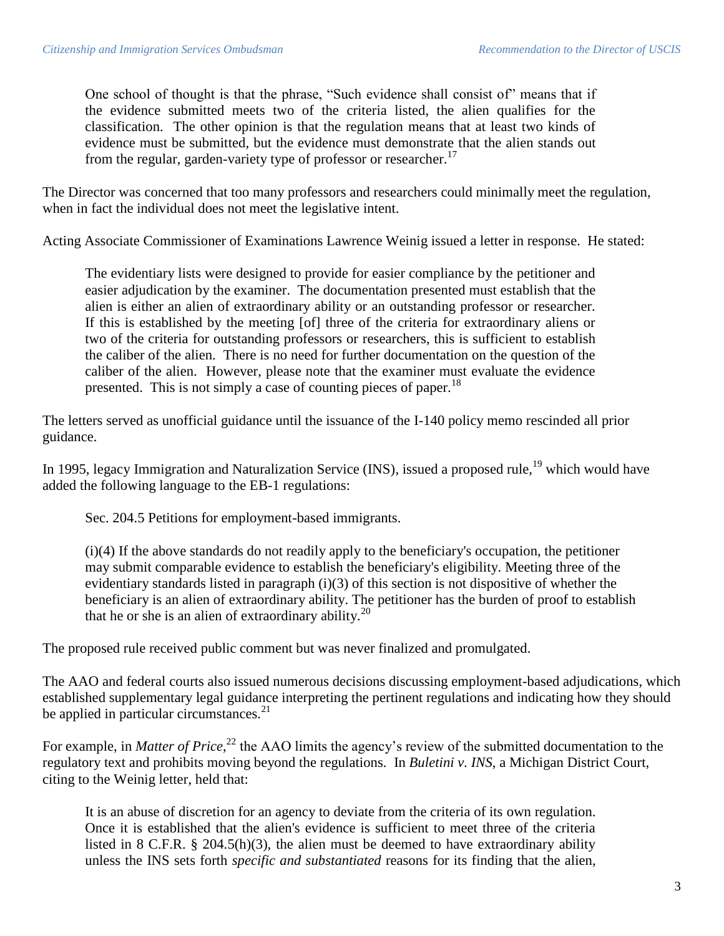One school of thought is that the phrase, "Such evidence shall consist of" means that if the evidence submitted meets two of the criteria listed, the alien qualifies for the classification. The other opinion is that the regulation means that at least two kinds of evidence must be submitted, but the evidence must demonstrate that the alien stands out from the regular, garden-variety type of professor or researcher.<sup>17</sup>

The Director was concerned that too many professors and researchers could minimally meet the regulation, when in fact the individual does not meet the legislative intent.

Acting Associate Commissioner of Examinations Lawrence Weinig issued a letter in response. He stated:

The evidentiary lists were designed to provide for easier compliance by the petitioner and easier adjudication by the examiner. The documentation presented must establish that the alien is either an alien of extraordinary ability or an outstanding professor or researcher. If this is established by the meeting [of] three of the criteria for extraordinary aliens or two of the criteria for outstanding professors or researchers, this is sufficient to establish the caliber of the alien. There is no need for further documentation on the question of the caliber of the alien. However, please note that the examiner must evaluate the evidence presented. This is not simply a case of counting pieces of paper.<sup>18</sup>

The letters served as unofficial guidance until the issuance of the I-140 policy memo rescinded all prior guidance.

In 1995, legacy Immigration and Naturalization Service (INS), issued a proposed rule,<sup>19</sup> which would have added the following language to the EB-1 regulations:

Sec. 204.5 Petitions for employment-based immigrants.

(i)(4) If the above standards do not readily apply to the beneficiary's occupation, the petitioner may submit comparable evidence to establish the beneficiary's eligibility. Meeting three of the evidentiary standards listed in paragraph (i)(3) of this section is not dispositive of whether the beneficiary is an alien of extraordinary ability. The petitioner has the burden of proof to establish that he or she is an alien of extraordinary ability.<sup>20</sup>

The proposed rule received public comment but was never finalized and promulgated.

The AAO and federal courts also issued numerous decisions discussing employment-based adjudications, which established supplementary legal guidance interpreting the pertinent regulations and indicating how they should be applied in particular circumstances. $21$ 

For example, in *Matter of Price*,<sup>22</sup> the AAO limits the agency's review of the submitted documentation to the regulatory text and prohibits moving beyond the regulations. In *Buletini v. INS*, a Michigan District Court, citing to the Weinig letter, held that:

It is an abuse of discretion for an agency to deviate from the criteria of its own regulation. Once it is established that the alien's evidence is sufficient to meet three of the criteria listed in 8 C.F.R. § 204.5(h)(3), the alien must be deemed to have extraordinary ability unless the INS sets forth *specific and substantiated* reasons for its finding that the alien,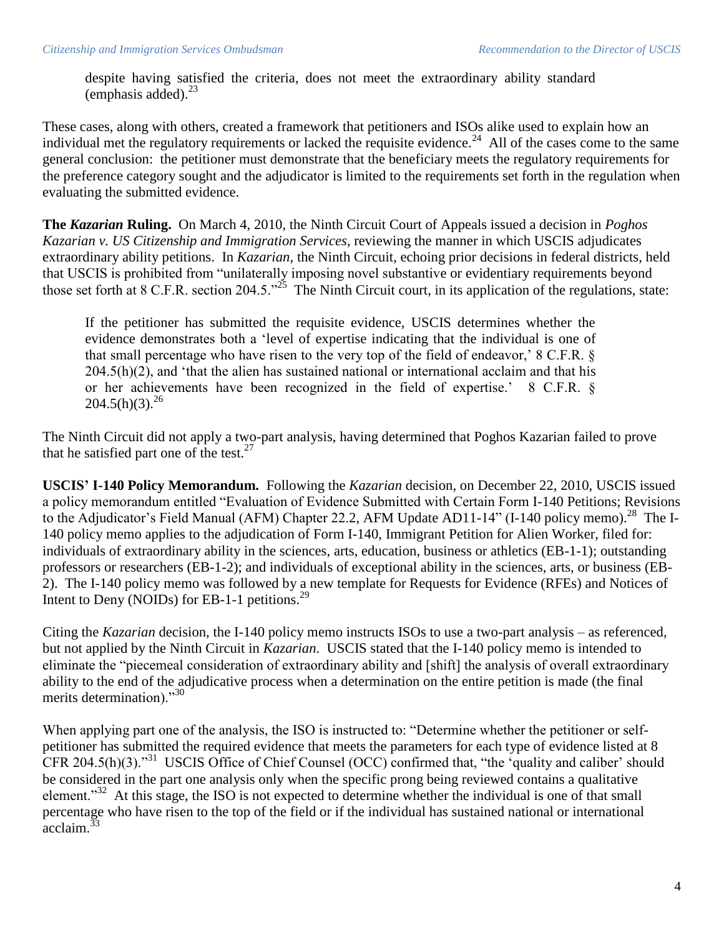despite having satisfied the criteria, does not meet the extraordinary ability standard (emphasis added). $^{23}$ 

These cases, along with others, created a framework that petitioners and ISOs alike used to explain how an individual met the regulatory requirements or lacked the requisite evidence.<sup>24</sup> All of the cases come to the same general conclusion: the petitioner must demonstrate that the beneficiary meets the regulatory requirements for the preference category sought and the adjudicator is limited to the requirements set forth in the regulation when evaluating the submitted evidence.

**The** *Kazarian* **Ruling.** On March 4, 2010, the Ninth Circuit Court of Appeals issued a decision in *Poghos Kazarian v. US Citizenship and Immigration Services*, reviewing the manner in which USCIS adjudicates extraordinary ability petitions. In *Kazarian,* the Ninth Circuit, echoing prior decisions in federal districts, held that USCIS is prohibited from "unilaterally imposing novel substantive or evidentiary requirements beyond those set forth at 8 C.F.R. section 204.5."<sup>25</sup> The Ninth Circuit court, in its application of the regulations, state:

If the petitioner has submitted the requisite evidence, USCIS determines whether the evidence demonstrates both a "level of expertise indicating that the individual is one of that small percentage who have risen to the very top of the field of endeavor,' 8 C.F.R. §  $204.5(h)(2)$ , and 'that the alien has sustained national or international acclaim and that his or her achievements have been recognized in the field of expertise." 8 C.F.R. §  $204.5(h)(3).^{26}$ 

The Ninth Circuit did not apply a two-part analysis, having determined that Poghos Kazarian failed to prove that he satisfied part one of the test. $27$ 

**USCIS' I-140 Policy Memorandum.** Following the *Kazarian* decision, on December 22, 2010, USCIS issued a policy memorandum entitled "Evaluation of Evidence Submitted with Certain Form I-140 Petitions; Revisions to the Adjudicator's Field Manual (AFM) Chapter 22.2, AFM Update AD11-14" (I-140 policy memo).<sup>28</sup> The I-140 policy memo applies to the adjudication of Form I-140, Immigrant Petition for Alien Worker, filed for: individuals of extraordinary ability in the sciences, arts, education, business or athletics (EB-1-1); outstanding professors or researchers (EB-1-2); and individuals of exceptional ability in the sciences, arts, or business (EB-2). The I-140 policy memo was followed by a new template for Requests for Evidence (RFEs) and Notices of Intent to Deny (NOIDs) for EB-1-1 petitions.<sup>29</sup>

Citing the *Kazarian* decision, the I-140 policy memo instructs ISOs to use a two-part analysis – as referenced, but not applied by the Ninth Circuit in *Kazarian*. USCIS stated that the I-140 policy memo is intended to eliminate the "piecemeal consideration of extraordinary ability and [shift] the analysis of overall extraordinary ability to the end of the adjudicative process when a determination on the entire petition is made (the final merits determination)."<sup>30</sup>

When applying part one of the analysis, the ISO is instructed to: "Determine whether the petitioner or selfpetitioner has submitted the required evidence that meets the parameters for each type of evidence listed at 8 CFR 204.5(h)(3)."<sup>31</sup> USCIS Office of Chief Counsel (OCC) confirmed that, "the 'quality and caliber' should be considered in the part one analysis only when the specific prong being reviewed contains a qualitative element."<sup>32</sup> At this stage, the ISO is not expected to determine whether the individual is one of that small percentage who have risen to the top of the field or if the individual has sustained national or international  $\arctan^{33}$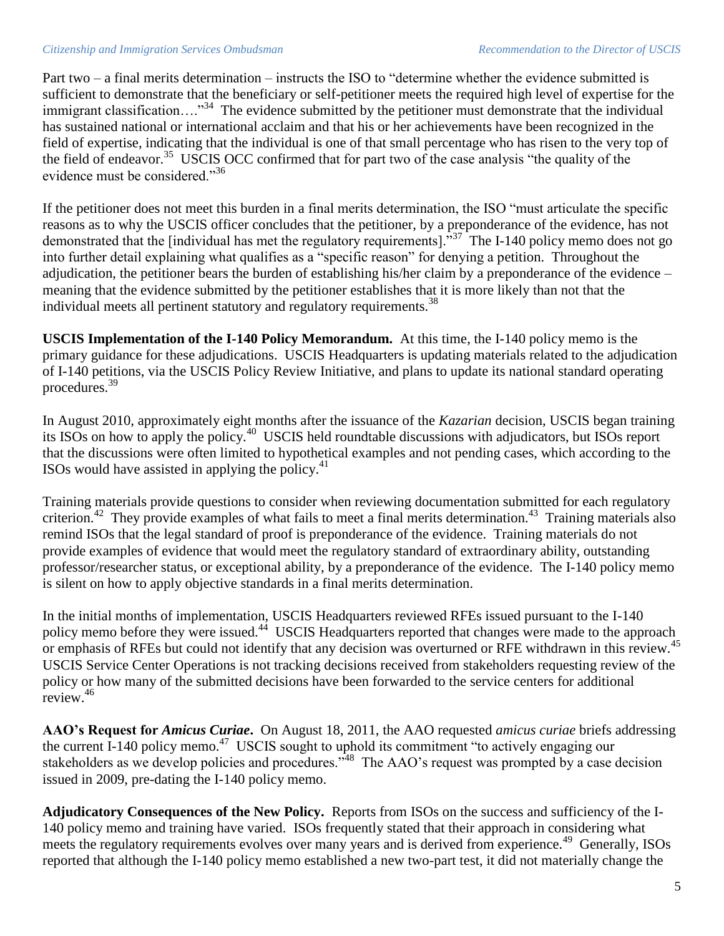#### *Citizenship and Immigration Services Ombudsman Recommendation to the Director of USCIS*

Part two – a final merits determination – instructs the ISO to "determine whether the evidence submitted is sufficient to demonstrate that the beneficiary or self-petitioner meets the required high level of expertise for the immigrant classification...."<sup>34</sup> The evidence submitted by the petitioner must demonstrate that the individual has sustained national or international acclaim and that his or her achievements have been recognized in the field of expertise, indicating that the individual is one of that small percentage who has risen to the very top of the field of endeavor.<sup>35</sup> USCIS OCC confirmed that for part two of the case analysis "the quality of the evidence must be considered."<sup>36</sup>

If the petitioner does not meet this burden in a final merits determination, the ISO "must articulate the specific reasons as to why the USCIS officer concludes that the petitioner, by a preponderance of the evidence, has not demonstrated that the [individual has met the regulatory requirements].<sup>337</sup> The I-140 policy memo does not go into further detail explaining what qualifies as a "specific reason" for denying a petition. Throughout the adjudication, the petitioner bears the burden of establishing his/her claim by a preponderance of the evidence – meaning that the evidence submitted by the petitioner establishes that it is more likely than not that the individual meets all pertinent statutory and regulatory requirements.<sup>38</sup>

**USCIS Implementation of the I-140 Policy Memorandum.** At this time, the I-140 policy memo is the primary guidance for these adjudications. USCIS Headquarters is updating materials related to the adjudication of I-140 petitions, via the USCIS Policy Review Initiative, and plans to update its national standard operating procedures.<sup>39</sup>

In August 2010, approximately eight months after the issuance of the *Kazarian* decision, USCIS began training its ISOs on how to apply the policy.<sup>40</sup> USCIS held roundtable discussions with adjudicators, but ISOs report that the discussions were often limited to hypothetical examples and not pending cases, which according to the ISOs would have assisted in applying the policy. $41$ 

Training materials provide questions to consider when reviewing documentation submitted for each regulatory criterion.<sup>42</sup> They provide examples of what fails to meet a final merits determination.<sup>43</sup> Training materials also remind ISOs that the legal standard of proof is preponderance of the evidence. Training materials do not provide examples of evidence that would meet the regulatory standard of extraordinary ability, outstanding professor/researcher status, or exceptional ability, by a preponderance of the evidence. The I-140 policy memo is silent on how to apply objective standards in a final merits determination.

In the initial months of implementation, USCIS Headquarters reviewed RFEs issued pursuant to the I-140 policy memo before they were issued.<sup>44</sup> USCIS Headquarters reported that changes were made to the approach or emphasis of RFEs but could not identify that any decision was overturned or RFE withdrawn in this review.<sup>45</sup> USCIS Service Center Operations is not tracking decisions received from stakeholders requesting review of the policy or how many of the submitted decisions have been forwarded to the service centers for additional review.<sup>46</sup>

**AAO's Request for** *Amicus Curiae***.** On August 18, 2011, the AAO requested *amicus curiae* briefs addressing the current I-140 policy memo.<sup>47</sup> USCIS sought to uphold its commitment "to actively engaging our stakeholders as we develop policies and procedures.<sup>348</sup> The AAO's request was prompted by a case decision issued in 2009, pre-dating the I-140 policy memo.

**Adjudicatory Consequences of the New Policy.** Reports from ISOs on the success and sufficiency of the I-140 policy memo and training have varied. ISOs frequently stated that their approach in considering what meets the regulatory requirements evolves over many years and is derived from experience.<sup>49</sup> Generally, ISOs reported that although the I-140 policy memo established a new two-part test, it did not materially change the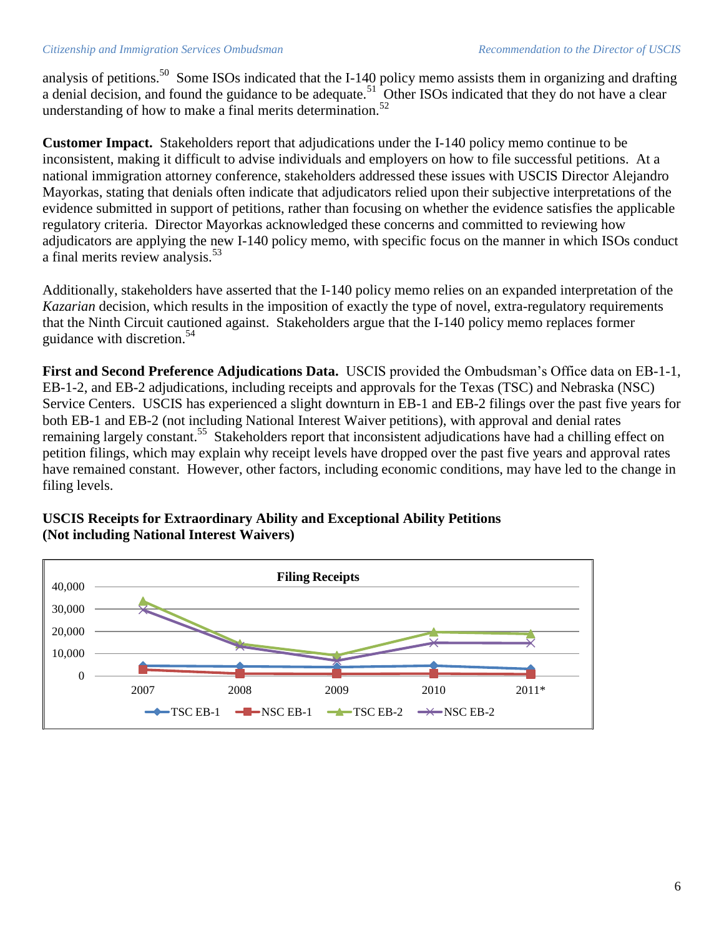#### *Citizenship and Immigration Services Ombudsman Recommendation to the Director of USCIS*

analysis of petitions.<sup>50</sup> Some ISOs indicated that the I-140 policy memo assists them in organizing and drafting a denial decision, and found the guidance to be adequate.<sup>51</sup> Other ISOs indicated that they do not have a clear understanding of how to make a final merits determination.<sup>52</sup>

**Customer Impact.** Stakeholders report that adjudications under the I-140 policy memo continue to be inconsistent, making it difficult to advise individuals and employers on how to file successful petitions. At a national immigration attorney conference, stakeholders addressed these issues with USCIS Director Alejandro Mayorkas, stating that denials often indicate that adjudicators relied upon their subjective interpretations of the evidence submitted in support of petitions, rather than focusing on whether the evidence satisfies the applicable regulatory criteria. Director Mayorkas acknowledged these concerns and committed to reviewing how adjudicators are applying the new I-140 policy memo, with specific focus on the manner in which ISOs conduct a final merits review analysis.<sup>53</sup>

Additionally, stakeholders have asserted that the I-140 policy memo relies on an expanded interpretation of the *Kazarian* decision, which results in the imposition of exactly the type of novel, extra-regulatory requirements that the Ninth Circuit cautioned against. Stakeholders argue that the I-140 policy memo replaces former guidance with discretion.<sup>54</sup>

**First and Second Preference Adjudications Data.** USCIS provided the Ombudsman"s Office data on EB-1-1, EB-1-2, and EB-2 adjudications, including receipts and approvals for the Texas (TSC) and Nebraska (NSC) Service Centers. USCIS has experienced a slight downturn in EB-1 and EB-2 filings over the past five years for both EB-1 and EB-2 (not including National Interest Waiver petitions), with approval and denial rates remaining largely constant.<sup>55</sup> Stakeholders report that inconsistent adjudications have had a chilling effect on petition filings, which may explain why receipt levels have dropped over the past five years and approval rates have remained constant. However, other factors, including economic conditions, may have led to the change in filing levels.

### **USCIS Receipts for Extraordinary Ability and Exceptional Ability Petitions (Not including National Interest Waivers)**

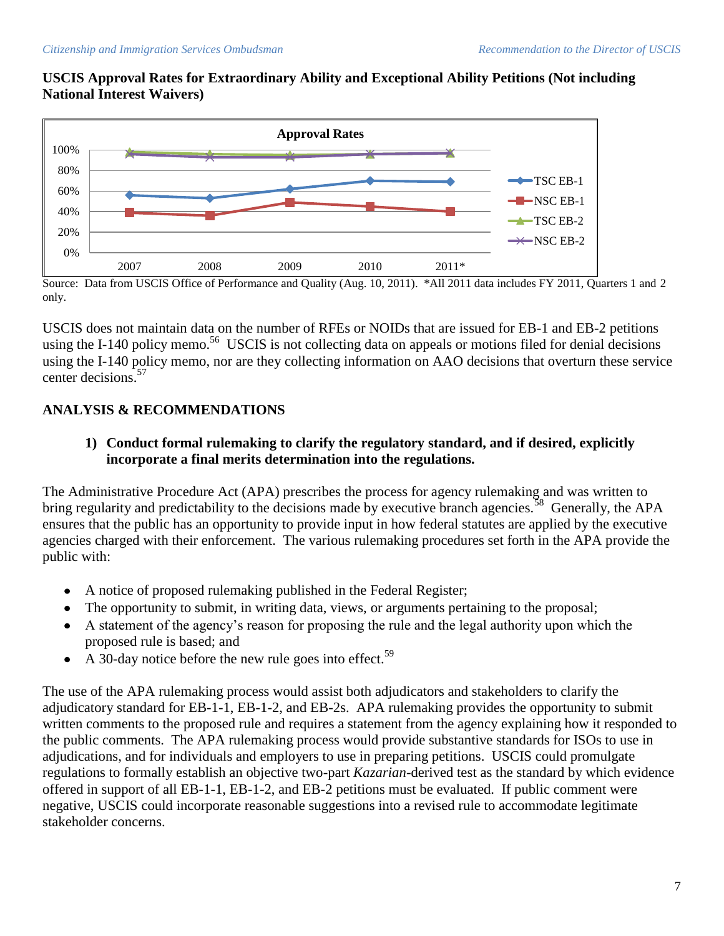# **USCIS Approval Rates for Extraordinary Ability and Exceptional Ability Petitions (Not including National Interest Waivers)**



Source: Data from USCIS Office of Performance and Quality (Aug. 10, 2011). \*All 2011 data includes FY 2011, Quarters 1 and 2 only.

USCIS does not maintain data on the number of RFEs or NOIDs that are issued for EB-1 and EB-2 petitions using the I-140 policy memo.<sup>56</sup> USCIS is not collecting data on appeals or motions filed for denial decisions using the I-140 policy memo, nor are they collecting information on AAO decisions that overturn these service center decisions.<sup>57</sup>

# **ANALYSIS & RECOMMENDATIONS**

# **1) Conduct formal rulemaking to clarify the regulatory standard, and if desired, explicitly incorporate a final merits determination into the regulations.**

The Administrative Procedure Act (APA) prescribes the process for agency rulemaking and was written to bring regularity and predictability to the decisions made by executive branch agencies.<sup>58</sup> Generally, the APA ensures that the public has an opportunity to provide input in how federal statutes are applied by the executive agencies charged with their enforcement. The various rulemaking procedures set forth in the APA provide the public with:

- A notice of proposed rulemaking published in the Federal Register;  $\bullet$
- The opportunity to submit, in writing data, views, or arguments pertaining to the proposal;  $\bullet$
- A statement of the agency"s reason for proposing the rule and the legal authority upon which the proposed rule is based; and
- A 30-day notice before the new rule goes into effect.<sup>59</sup>  $\bullet$

The use of the APA rulemaking process would assist both adjudicators and stakeholders to clarify the adjudicatory standard for EB-1-1, EB-1-2, and EB-2s. APA rulemaking provides the opportunity to submit written comments to the proposed rule and requires a statement from the agency explaining how it responded to the public comments. The APA rulemaking process would provide substantive standards for ISOs to use in adjudications, and for individuals and employers to use in preparing petitions. USCIS could promulgate regulations to formally establish an objective two-part *Kazarian*-derived test as the standard by which evidence offered in support of all EB-1-1, EB-1-2, and EB-2 petitions must be evaluated. If public comment were negative, USCIS could incorporate reasonable suggestions into a revised rule to accommodate legitimate stakeholder concerns.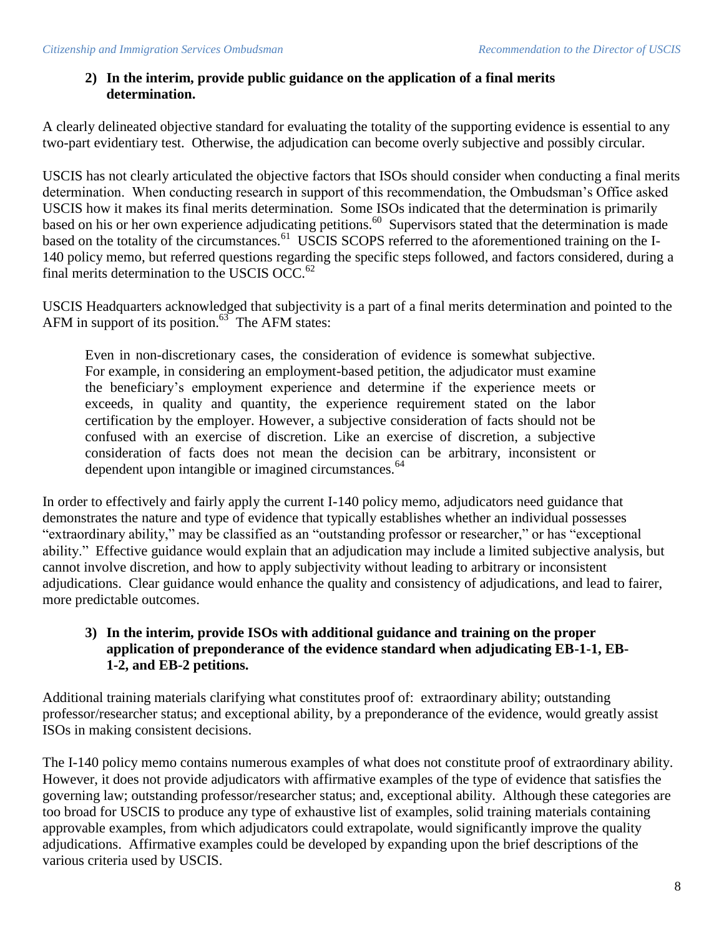# **2) In the interim, provide public guidance on the application of a final merits determination.**

A clearly delineated objective standard for evaluating the totality of the supporting evidence is essential to any two-part evidentiary test. Otherwise, the adjudication can become overly subjective and possibly circular.

USCIS has not clearly articulated the objective factors that ISOs should consider when conducting a final merits determination. When conducting research in support of this recommendation, the Ombudsman's Office asked USCIS how it makes its final merits determination. Some ISOs indicated that the determination is primarily based on his or her own experience adjudicating petitions.<sup>60</sup> Supervisors stated that the determination is made based on the totality of the circumstances.<sup>61</sup> USCIS SCOPS referred to the aforementioned training on the I-140 policy memo, but referred questions regarding the specific steps followed, and factors considered, during a final merits determination to the USCIS OCC.<sup>62</sup>

USCIS Headquarters acknowledged that subjectivity is a part of a final merits determination and pointed to the AFM in support of its position. $63$  The AFM states:

Even in non-discretionary cases, the consideration of evidence is somewhat subjective. For example, in considering an employment-based petition, the adjudicator must examine the beneficiary"s employment experience and determine if the experience meets or exceeds, in quality and quantity, the experience requirement stated on the labor certification by the employer. However, a subjective consideration of facts should not be confused with an exercise of discretion. Like an exercise of discretion, a subjective consideration of facts does not mean the decision can be arbitrary, inconsistent or dependent upon intangible or imagined circumstances.<sup>64</sup>

In order to effectively and fairly apply the current I-140 policy memo, adjudicators need guidance that demonstrates the nature and type of evidence that typically establishes whether an individual possesses "extraordinary ability," may be classified as an "outstanding professor or researcher," or has "exceptional ability." Effective guidance would explain that an adjudication may include a limited subjective analysis, but cannot involve discretion, and how to apply subjectivity without leading to arbitrary or inconsistent adjudications. Clear guidance would enhance the quality and consistency of adjudications, and lead to fairer, more predictable outcomes.

## **3) In the interim, provide ISOs with additional guidance and training on the proper application of preponderance of the evidence standard when adjudicating EB-1-1, EB-1-2, and EB-2 petitions.**

Additional training materials clarifying what constitutes proof of: extraordinary ability; outstanding professor/researcher status; and exceptional ability, by a preponderance of the evidence, would greatly assist ISOs in making consistent decisions.

The I-140 policy memo contains numerous examples of what does not constitute proof of extraordinary ability. However, it does not provide adjudicators with affirmative examples of the type of evidence that satisfies the governing law; outstanding professor/researcher status; and, exceptional ability. Although these categories are too broad for USCIS to produce any type of exhaustive list of examples, solid training materials containing approvable examples, from which adjudicators could extrapolate, would significantly improve the quality adjudications. Affirmative examples could be developed by expanding upon the brief descriptions of the various criteria used by USCIS.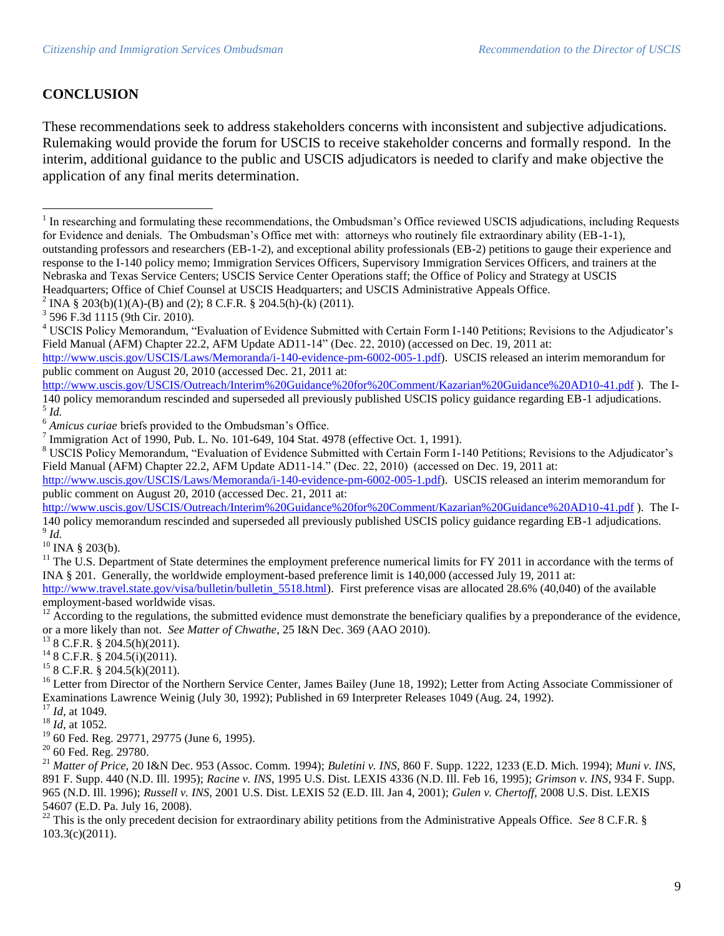### **CONCLUSION**

 $\overline{a}$ 

These recommendations seek to address stakeholders concerns with inconsistent and subjective adjudications. Rulemaking would provide the forum for USCIS to receive stakeholder concerns and formally respond. In the interim, additional guidance to the public and USCIS adjudicators is needed to clarify and make objective the application of any final merits determination.

<sup>2</sup> INA § 203(b)(1)(A)-(B) and (2); 8 C.F.R. § 204.5(h)-(k) (2011).

 $^{10}$  INA § 203(b).

<sup>16</sup> Letter from Director of the Northern Service Center, James Bailey (June 18, 1992); Letter from Acting Associate Commissioner of Examinations Lawrence Weinig (July 30, 1992); Published in 69 Interpreter Releases 1049 (Aug. 24, 1992).

<sup>20</sup> 60 Fed. Reg. 29780.

<sup>21</sup> *Matter of Price,* 20 I&N Dec. 953 (Assoc. Comm. 1994); *Buletini v. INS,* 860 F. Supp. 1222, 1233 (E.D. Mich. 1994); *Muni v. INS*, 891 F. Supp. 440 (N.D. Ill. 1995); *Racine v. INS*, 1995 U.S. Dist. LEXIS 4336 (N.D. Ill. Feb 16, 1995); *Grimson v. INS*, 934 F. Supp. 965 (N.D. Ill. 1996); *Russell v. INS*, 2001 U.S. Dist. LEXIS 52 (E.D. Ill. Jan 4, 2001); *Gulen v. Chertoff,* 2008 U.S. Dist. LEXIS 54607 (E.D. Pa. July 16, 2008).

<sup>22</sup> This is the only precedent decision for extraordinary ability petitions from the Administrative Appeals Office. *See* 8 C.F.R. § 103.3(c)(2011).

<sup>&</sup>lt;sup>1</sup> In researching and formulating these recommendations, the Ombudsman's Office reviewed USCIS adjudications, including Requests for Evidence and denials. The Ombudsman"s Office met with: attorneys who routinely file extraordinary ability (EB-1-1), outstanding professors and researchers (EB-1-2), and exceptional ability professionals (EB-2) petitions to gauge their experience and response to the I-140 policy memo; Immigration Services Officers, Supervisory Immigration Services Officers, and trainers at the Nebraska and Texas Service Centers; USCIS Service Center Operations staff; the Office of Policy and Strategy at USCIS Headquarters; Office of Chief Counsel at USCIS Headquarters; and USCIS Administrative Appeals Office.

<sup>3</sup> 596 F.3d 1115 (9th Cir. 2010).

<sup>&</sup>lt;sup>4</sup> USCIS Policy Memorandum, "Evaluation of Evidence Submitted with Certain Form I-140 Petitions; Revisions to the Adjudicator's Field Manual (AFM) Chapter 22.2, AFM Update AD11-14" (Dec. 22, 2010) (accessed on Dec. 19, 2011 at:

[http://www.uscis.gov/USCIS/Laws/Memoranda/i-140-evidence-pm-6002-005-1.pdf\)](http://www.uscis.gov/USCIS/Laws/Memoranda/i-140-evidence-pm-6002-005-1.pdf). USCIS released an interim memorandum for public comment on August 20, 2010 (accessed Dec. 21, 2011 at:

<http://www.uscis.gov/USCIS/Outreach/Interim%20Guidance%20for%20Comment/Kazarian%20Guidance%20AD10-41.pdf> ). The I-140 policy memorandum rescinded and superseded all previously published USCIS policy guidance regarding EB-1 adjudications. 5 *Id.*

<sup>&</sup>lt;sup>6</sup> *Amicus curiae* briefs provided to the Ombudsman's Office.

<sup>&</sup>lt;sup>7</sup> Immigration Act of 1990, Pub. L. No. 101-649, 104 Stat. 4978 (effective Oct. 1, 1991).

<sup>&</sup>lt;sup>8</sup> USCIS Policy Memorandum, "Evaluation of Evidence Submitted with Certain Form I-140 Petitions; Revisions to the Adjudicator's Field Manual (AFM) Chapter 22.2, AFM Update AD11-14." (Dec. 22, 2010) (accessed on Dec. 19, 2011 at:

[http://www.uscis.gov/USCIS/Laws/Memoranda/i-140-evidence-pm-6002-005-1.pdf\)](http://www.uscis.gov/USCIS/Laws/Memoranda/i-140-evidence-pm-6002-005-1.pdf). USCIS released an interim memorandum for public comment on August 20, 2010 (accessed Dec. 21, 2011 at:

<http://www.uscis.gov/USCIS/Outreach/Interim%20Guidance%20for%20Comment/Kazarian%20Guidance%20AD10-41.pdf>). The I-140 policy memorandum rescinded and superseded all previously published USCIS policy guidance regarding EB-1 adjudications. 9 *Id.*

 $11$  The U.S. Department of State determines the employment preference numerical limits for FY 2011 in accordance with the terms of INA § 201. Generally, the worldwide employment-based preference limit is 140,000 (accessed July 19, 2011 at:

[http://www.travel.state.gov/visa/bulletin/bulletin\\_5518.html\)](http://www.travel.state.gov/visa/bulletin/bulletin_5518.html). First preference visas are allocated 28.6% (40,040) of the available employment-based worldwide visas.

<sup>&</sup>lt;sup>12</sup> According to the regulations, the submitted evidence must demonstrate the beneficiary qualifies by a preponderance of the evidence, or a more likely than not. *See Matter of Chwathe*, 25 I&N Dec. 369 (AAO 2010).

<sup>13</sup> 8 C.F.R. § 204.5(h)(2011).

<sup>14</sup> 8 C.F.R. § 204.5(i)(2011).

<sup>15</sup> 8 C.F.R. § 204.5(k)(2011).

<sup>17</sup> *Id*, at 1049.

<sup>18</sup> *Id*, at 1052.

<sup>&</sup>lt;sup>19</sup> 60 Fed. Reg. 29771, 29775 (June 6, 1995).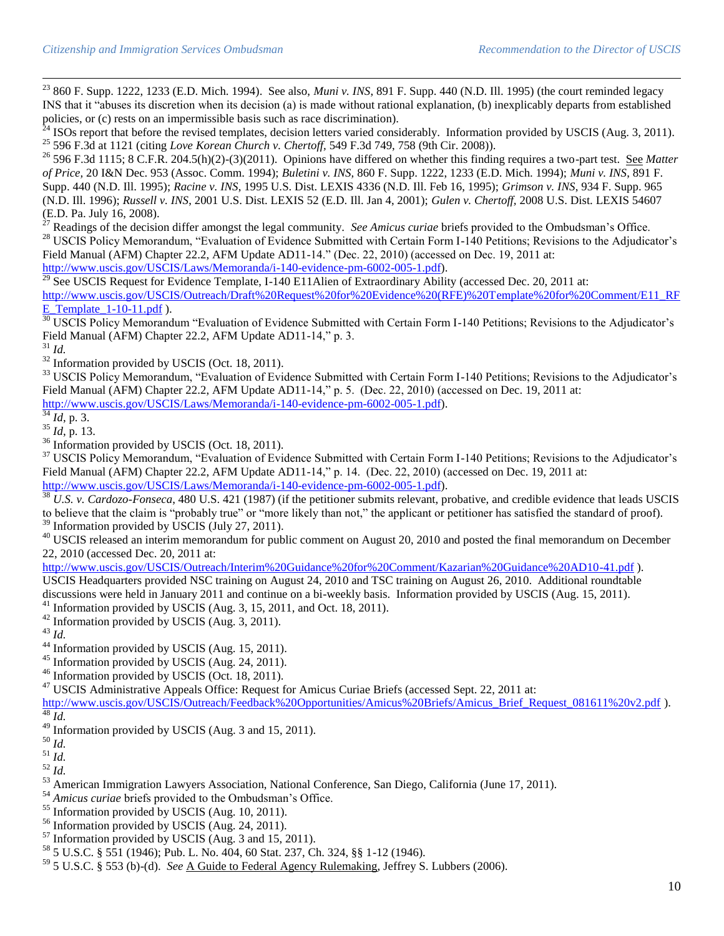<sup>23</sup> 860 F. Supp. 1222, 1233 (E.D. Mich. 1994). See also, *Muni v. INS*, 891 F. Supp. 440 (N.D. Ill. 1995) (the court reminded legacy INS that it "abuses its discretion when its decision (a) is made without rational explanation, (b) inexplicably departs from established policies, or (c) rests on an impermissible basis such as race discrimination).

 $^{24}$  ISOs report that before the revised templates, decision letters varied considerably. Information provided by USCIS (Aug. 3, 2011). <sup>25</sup> 596 F.3d at 1121 (citing *Love Korean Church v. Chertoff,* 549 F.3d 749, 758 (9th Cir. 2008)).

<sup>26</sup> 596 F.3d 1115; 8 C.F.R. 204.5(h)(2)-(3)(2011). Opinions have differed on whether this finding requires a two-part test. See *Matter of Price,* 20 I&N Dec. 953 (Assoc. Comm. 1994); *Buletini v. INS,* 860 F. Supp. 1222, 1233 (E.D. Mich. 1994); *Muni v. INS*, 891 F. Supp. 440 (N.D. Ill. 1995); *Racine v. INS*, 1995 U.S. Dist. LEXIS 4336 (N.D. Ill. Feb 16, 1995); *Grimson v. INS*, 934 F. Supp. 965 (N.D. Ill. 1996); *Russell v. INS*, 2001 U.S. Dist. LEXIS 52 (E.D. Ill. Jan 4, 2001); *Gulen v. Chertoff,* 2008 U.S. Dist. LEXIS 54607 (E.D. Pa. July 16, 2008).

<sup>27</sup> Readings of the decision differ amongst the legal community. *See Amicus curiae* briefs provided to the Ombudsman"s Office. <sup>28</sup> USCIS Policy Memorandum, "Evaluation of Evidence Submitted with Certain Form I-140 Petitions; Revisions to the Adjudicator's Field Manual (AFM) Chapter 22.2, AFM Update AD11-14." (Dec. 22, 2010) (accessed on Dec. 19, 2011 at: [http://www.uscis.gov/USCIS/Laws/Memoranda/i-140-evidence-pm-6002-005-1.pdf\)](http://www.uscis.gov/USCIS/Laws/Memoranda/i-140-evidence-pm-6002-005-1.pdf).

<sup>29</sup> See USCIS Request for Evidence Template, I-140 E11Alien of Extraordinary Ability (accessed Dec. 20, 2011 at: [http://www.uscis.gov/USCIS/Outreach/Draft%20Request%20for%20Evidence%20\(RFE\)%20Template%20for%20Comment/E11\\_RF](http://www.uscis.gov/USCIS/Outreach/Draft%20Request%20for%20Evidence%20(RFE)%20Template%20for%20Comment/E11_RFE_Template_1-10-11.pdf) E Template  $1-10-11.pdf$  ).

<sup>30</sup> USCIS Policy Memorandum "Evaluation of Evidence Submitted with Certain Form I-140 Petitions; Revisions to the Adjudicator's Field Manual (AFM) Chapter 22.2, AFM Update AD11-14," p. 3.

<sup>31</sup> *Id.*

l

 $32 \text{ Information provided by USCIS (Oct. 18, 2011).}$ 

<sup>33</sup> USCIS Policy Memorandum, "Evaluation of Evidence Submitted with Certain Form I-140 Petitions; Revisions to the Adjudicator's Field Manual (AFM) Chapter 22.2, AFM Update AD11-14," p. 5. (Dec. 22, 2010) (accessed on Dec. 19, 2011 at: [http://www.uscis.gov/USCIS/Laws/Memoranda/i-140-evidence-pm-6002-005-1.pdf\)](http://www.uscis.gov/USCIS/Laws/Memoranda/i-140-evidence-pm-6002-005-1.pdf).

 $\frac{34}{1}$ *Id*, p. 3.

 $^{35}$  *Id*, p. 13.

 $36$  Information provided by USCIS (Oct. 18, 2011).

<sup>37</sup> USCIS Policy Memorandum, "Evaluation of Evidence Submitted with Certain Form I-140 Petitions; Revisions to the Adjudicator's Field Manual (AFM) Chapter 22.2, AFM Update AD11-14," p. 14. (Dec. 22, 2010) (accessed on Dec. 19, 2011 at: [http://www.uscis.gov/USCIS/Laws/Memoranda/i-140-evidence-pm-6002-005-1.pdf\)](http://www.uscis.gov/USCIS/Laws/Memoranda/i-140-evidence-pm-6002-005-1.pdf).

<sup>38</sup> *U.S. v. Cardozo-Fonseca*, 480 U.S. 421 (1987) (if the petitioner submits relevant, probative, and credible evidence that leads USCIS to believe that the claim is "probably true" or "more likely than not," the applicant or petitioner has satisfied the standard of proof).  $39$  Information provided by USCIS (July 27, 2011).

<sup>40</sup> USCIS released an interim memorandum for public comment on August 20, 2010 and posted the final memorandum on December 22, 2010 (accessed Dec. 20, 2011 at:

<http://www.uscis.gov/USCIS/Outreach/Interim%20Guidance%20for%20Comment/Kazarian%20Guidance%20AD10-41.pdf> ).

USCIS Headquarters provided NSC training on August 24, 2010 and TSC training on August 26, 2010. Additional roundtable discussions were held in January 2011 and continue on a bi-weekly basis. Information provided by USCIS (Aug. 15, 2011).

 $41$  Information provided by USCIS (Aug. 3, 15, 2011, and Oct. 18, 2011).

- <sup>42</sup> Information provided by USCIS (Aug. 3, 2011).
- <sup>43</sup> *Id.*

<sup>44</sup> Information provided by USCIS (Aug. 15, 2011).

<sup>45</sup> Information provided by USCIS (Aug. 24, 2011).

<sup>46</sup> Information provided by USCIS (Oct. 18, 2011).

<sup>47</sup> USCIS Administrative Appeals Office: Request for Amicus Curiae Briefs (accessed Sept. 22, 2011 at:

[http://www.uscis.gov/USCIS/Outreach/Feedback%20Opportunities/Amicus%20Briefs/Amicus\\_Brief\\_Request\\_081611%20v2.pdf](http://www.uscis.gov/USCIS/Outreach/Feedback%20Opportunities/Amicus%20Briefs/Amicus_Brief_Request_081611%20v2.pdf) ).  $\overline{48}$   $\overline{Id}$ .

 $49$  Information provided by USCIS (Aug. 3 and 15, 2011).

<sup>50</sup> *Id.*

 $\overline{\phantom{a}}^{51}$  *Id.* 

<sup>52</sup> *Id.*

<sup>53</sup> American Immigration Lawyers Association, National Conference, San Diego, California (June 17, 2011).

<sup>54</sup> *Amicus curiae* briefs provided to the Ombudsman"s Office.

- $55$  Information provided by USCIS (Aug. 10, 2011).
- <sup>56</sup> Information provided by USCIS (Aug. 24, 2011).
- $57$  Information provided by USCIS (Aug. 3 and 15, 2011).

<sup>58</sup> 5 U.S.C. § 551 (1946); Pub. L. No. 404, 60 Stat. 237, Ch. 324, §§ 1-12 (1946).

<sup>59</sup> 5 U.S.C. § 553 (b)-(d). *See* A Guide to Federal Agency Rulemaking, Jeffrey S. Lubbers (2006).